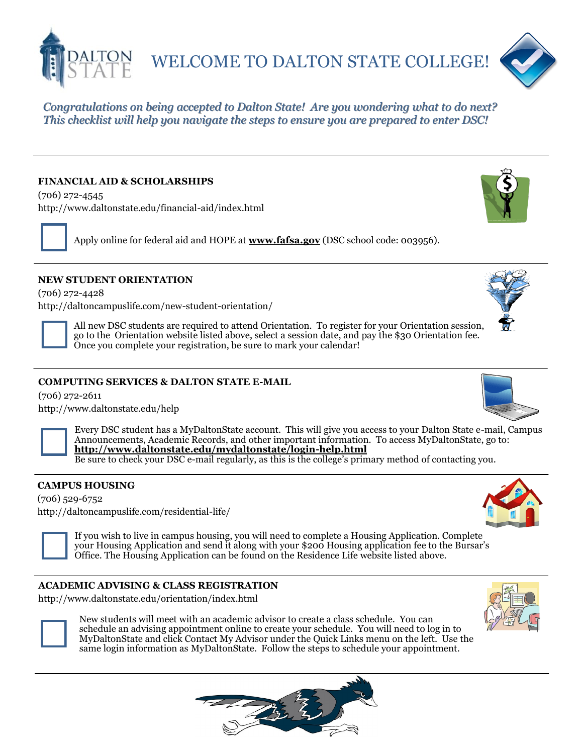

WELCOME TO DALTON STATE COLLEGE!



*Congratulations on being accepted to Dalton State! Are you wondering what to do next? This checklist will help you navigate the steps to ensure you are prepared to enter DSC!*

## **FINANCIAL AID & SCHOLARSHIPS**

(706) 272-4545 http://www.daltonstate.edu/financial-aid/index.html

Apply online for federal aid and HOPE at **www.fafsa.gov** (DSC school code: 003956).

### **NEW STUDENT ORIENTATION**

(706) 272-4428 http://daltoncampuslife.com/new-student-orientation/

> All new DSC students are required to attend Orientation. To register for your Orientation session, go to the Orientation website listed above, select a session date, and pay the \$30 Orientation fee. Once you complete your registration, be sure to mark your calendar!

## **COMPUTING SERVICES & DALTON STATE E-MAIL**

(706) 272-2611 <http://www.daltonstate.edu/help>





Every DSC student has a MyDaltonState account. This will give you access to your Dalton State e-mail, Campus Announcements, Academic Records, and other important information. To access MyDaltonState, go to: **<http://www.daltonstate.edu/mydaltonstate/login-help.html>**

Be sure to check your DSC e-mail regularly, as this is the college's primary method of contacting you.

## **CAMPUS HOUSING**

(706) 529-6752 http://daltoncampuslife.com/residential-life/



If you wish to live in campus housing, you will need to complete a Housing Application. Complete your Housing Application and send it along with your \$200 Housing application fee to the Bursar's Office. The Housing Application can be found on the Residence Life website listed above.

#### **ACADEMIC ADVISING & CLASS REGISTRATION**

http://www.daltonstate.edu/orientation/index.html



New students will meet with an academic advisor to create a class schedule. You can schedule an advising appointment online to create your schedule. You will need to log in to MyDaltonState and click Contact My Advisor under the Quick Links menu on the left. Use the same login information as MyDaltonState. Follow the steps to schedule your appointment.